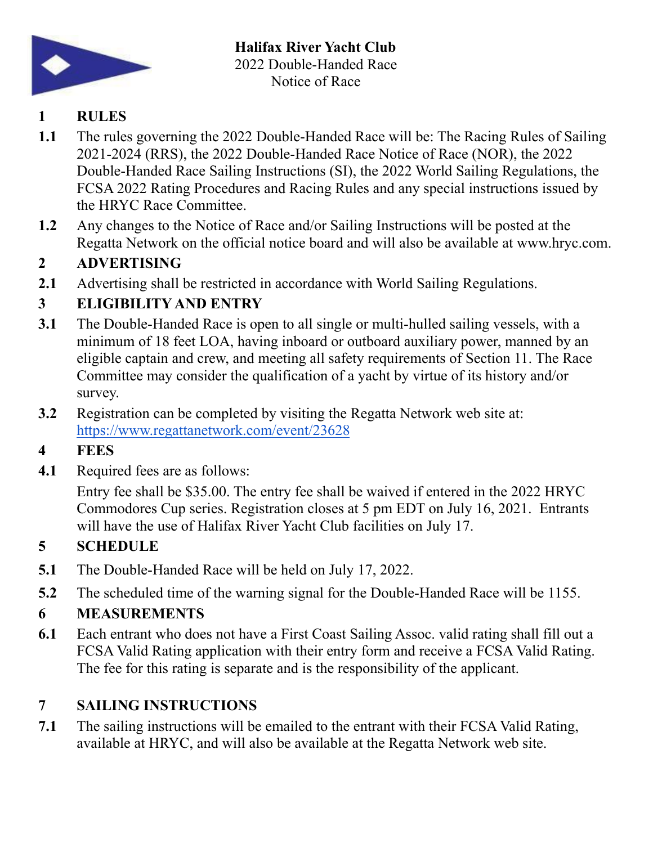

# **1 RULES**

- **1.1** The rules governing the 2022 Double-Handed Race will be: The Racing Rules of Sailing 2021-2024 (RRS), the 2022 Double-Handed Race Notice of Race (NOR), the 2022 Double-Handed Race Sailing Instructions (SI), the 2022 World Sailing Regulations, the FCSA 2022 Rating Procedures and Racing Rules and any special instructions issued by the HRYC Race Committee.
- **1.2** Any changes to the Notice of Race and/or Sailing Instructions will be posted at the Regatta Network on the official notice board and will also be available at www.hryc.com.

# **2 ADVERTISING**

**2.1** Advertising shall be restricted in accordance with World Sailing Regulations.

# **3 ELIGIBILITY AND ENTRY**

- **3.1** The Double-Handed Race is open to all single or multi-hulled sailing vessels, with a minimum of 18 feet LOA, having inboard or outboard auxiliary power, manned by an eligible captain and crew, and meeting all safety requirements of Section 11. The Race Committee may consider the qualification of a yacht by virtue of its history and/or survey.
- **3.2** Registration can be completed by visiting the Regatta Network web site at: <https://www.regattanetwork.com/event/23628>

# **4 FEES**

**4.1** Required fees are as follows:

Entry fee shall be \$35.00. The entry fee shall be waived if entered in the 2022 HRYC Commodores Cup series. Registration closes at 5 pm EDT on July 16, 2021. Entrants will have the use of Halifax River Yacht Club facilities on July 17.

# **5 SCHEDULE**

- **5.1** The Double-Handed Race will be held on July 17, 2022.
- **5.2** The scheduled time of the warning signal for the Double-Handed Race will be 1155.

### **6 MEASUREMENTS**

**6.1** Each entrant who does not have a First Coast Sailing Assoc. valid rating shall fill out a FCSA Valid Rating application with their entry form and receive a FCSA Valid Rating. The fee for this rating is separate and is the responsibility of the applicant.

## **7 SAILING INSTRUCTIONS**

**7.1** The sailing instructions will be emailed to the entrant with their FCSA Valid Rating, available at HRYC, and will also be available at the Regatta Network web site.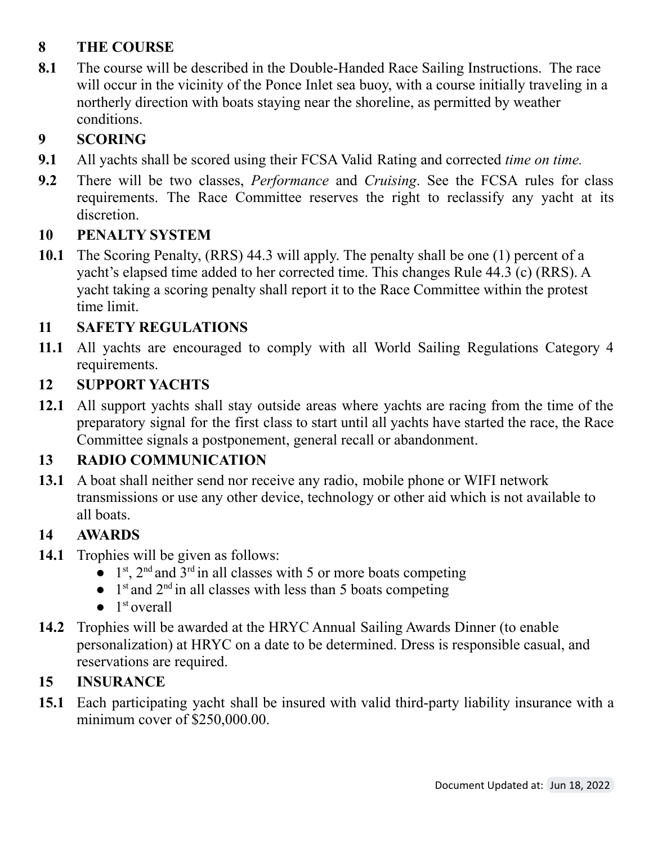## **8 THE COURSE**

**8.1** The course will be described in the Double-Handed Race Sailing Instructions. The race will occur in the vicinity of the Ponce Inlet sea buoy, with a course initially traveling in a northerly direction with boats staying near the shoreline, as permitted by weather conditions.

# **9 SCORING**

- **9.1** All yachts shall be scored using their FCSA Valid Rating and corrected *time on time.*
- **9.2** There will be two classes, *Performance* and *Cruising*. See the FCSA rules for class requirements. The Race Committee reserves the right to reclassify any yacht at its discretion.

#### **10 PENALTY SYSTEM**

**10.1** The Scoring Penalty, (RRS) 44.3 will apply. The penalty shall be one (1) percent of a yacht's elapsed time added to her corrected time. This changes Rule 44.3 (c) (RRS). A yacht taking a scoring penalty shall report it to the Race Committee within the protest time limit.

## **11 SAFETY REGULATIONS**

**11.1** All yachts are encouraged to comply with all World Sailing Regulations Category 4 requirements.

### **12 SUPPORT YACHTS**

**12.1** All support yachts shall stay outside areas where yachts are racing from the time of the preparatory signal for the first class to start until all yachts have started the race, the Race Committee signals a postponement, general recall or abandonment.

### **13 RADIO COMMUNICATION**

**13.1** A boat shall neither send nor receive any radio, mobile phone or WIFI network transmissions or use any other device, technology or other aid which is not available to all boats.

### **14 AWARDS**

- **14.1** Trophies will be given as follows:
	- $\bullet$  1<sup>st</sup>, 2<sup>nd</sup> and 3<sup>rd</sup> in all classes with 5 or more boats competing
	- $\bullet$  1<sup>st</sup> and 2<sup>nd</sup> in all classes with less than 5 boats competing
	- $\bullet$  1<sup>st</sup> overall
- **14.2** Trophies will be awarded at the HRYC Annual Sailing Awards Dinner (to enable personalization) at HRYC on a date to be determined. Dress is responsible casual, and reservations are required.

### **15 INSURANCE**

**15.1** Each participating yacht shall be insured with valid third-party liability insurance with a minimum cover of \$250,000.00.